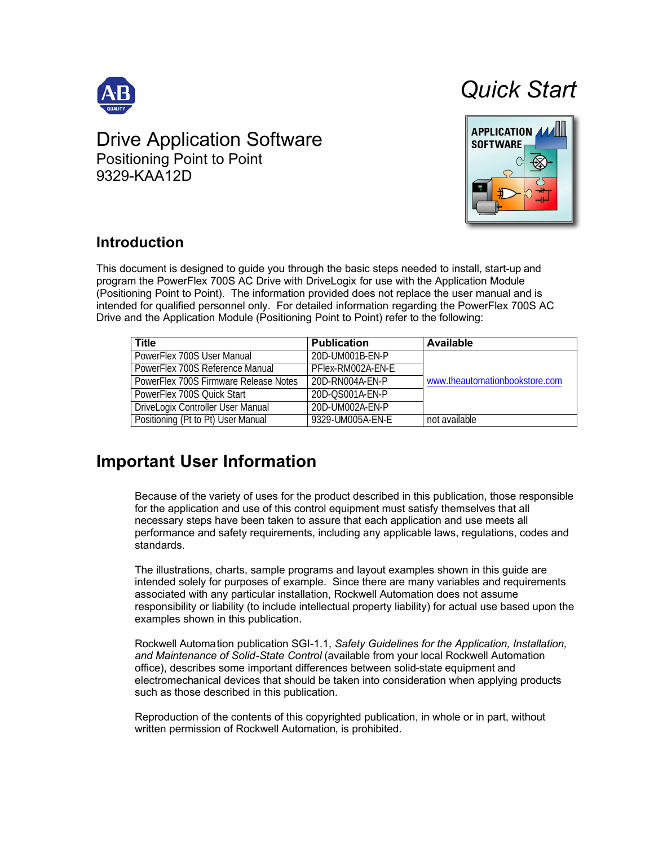

# Drive Application Software

Positioning Point to Point 9329-KAA12D





# **Introduction**

This document is designed to guide you through the basic steps needed to install, start-up and program the PowerFlex 700S AC Drive with DriveLogix for use with the Application Module (Positioning Point to Point). The information provided does not replace the user manual and is intended for qualified personnel only. For detailed information regarding the PowerFlex 700S AC Drive and the Application Module (Positioning Point to Point) refer to the following:

| Title                                 | <b>Publication</b> | Available                      |
|---------------------------------------|--------------------|--------------------------------|
| PowerFlex 700S User Manual            | 20D-UM001B-FN-P    |                                |
| PowerFlex 700S Reference Manual       | PFlex-RM002A-FN-F  |                                |
| PowerFlex 700S Firmware Release Notes | 20D-RN004A-FN-P    | www.theautomationbookstore.com |
| PowerFlex 700S Ouick Start            | 20D-OS001A-FN-P    |                                |
| DriveLogix Controller User Manual     | 20D-UM002A-FN-P    |                                |
| Positioning (Pt to Pt) User Manual    | 9329-LIM005A-FN-F  | not available                  |

# **Important User Information**

Because of the variety of uses for the product described in this publication, those responsible for the application and use of this control equipment must satisfy themselves that all necessary steps have been taken to assure that each application and use meets all performance and safety requirements, including any applicable laws, regulations, codes and standards.

The illustrations, charts, sample programs and layout examples shown in this guide are intended solely for purposes of example. Since there are many variables and requirements associated with any particular installation, Rockwell Automation does not assume responsibility or liability (to include intellectual property liability) for actual use based upon the examples shown in this publication.

Rockwell Automation publication SGI-1.1, *Safety Guidelines for the Application, Installation, and Maintenance of Solid-State Control* (available from your local Rockwell Automation office), describes some important differences between solid-state equipment and electromechanical devices that should be taken into consideration when applying products such as those described in this publication.

Reproduction of the contents of this copyrighted publication, in whole or in part, without written permission of Rockwell Automation, is prohibited.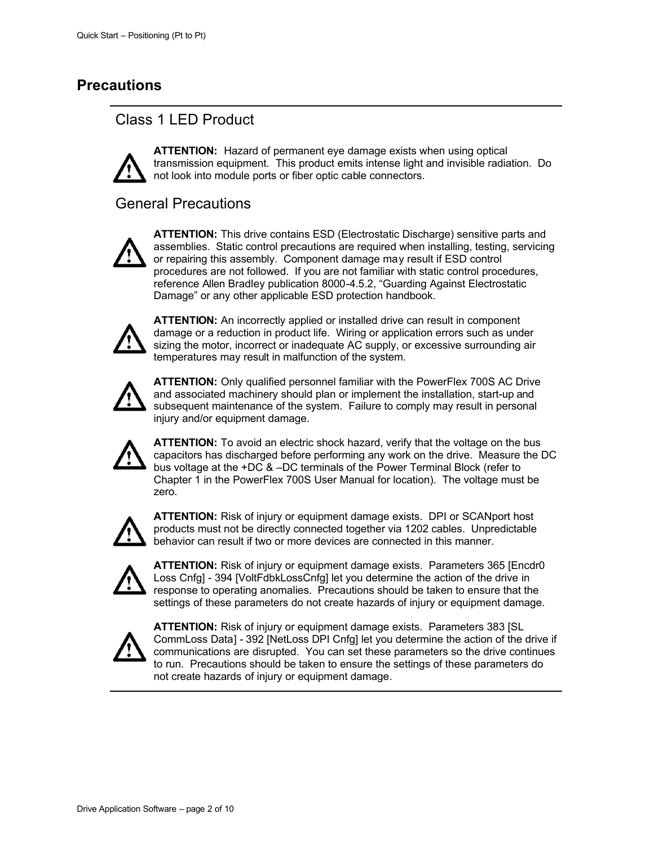## **Precautions**

## Class 1 LED Product



**ATTENTION:** Hazard of permanent eye damage exists when using optical transmission equipment. This product emits intense light and invisible radiation. Do not look into module ports or fiber optic cable connectors.

## General Precautions



**ATTENTION:** This drive contains ESD (Electrostatic Discharge) sensitive parts and assemblies. Static control precautions are required when installing, testing, servicing or repairing this assembly. Component damage may result if ESD control procedures are not followed. If you are not familiar with static control procedures, reference Allen Bradley publication 8000-4.5.2, "Guarding Against Electrostatic Damage" or any other applicable ESD protection handbook.



**ATTENTION:** An incorrectly applied or installed drive can result in component damage or a reduction in product life. Wiring or application errors such as under sizing the motor, incorrect or inadequate AC supply, or excessive surrounding air temperatures may result in malfunction of the system.



**ATTENTION:** Only qualified personnel familiar with the PowerFlex 700S AC Drive and associated machinery should plan or implement the installation, start-up and subsequent maintenance of the system. Failure to comply may result in personal injury and/or equipment damage.



**ATTENTION:** To avoid an electric shock hazard, verify that the voltage on the bus capacitors has discharged before performing any work on the drive. Measure the DC bus voltage at the +DC & –DC terminals of the Power Terminal Block (refer to Chapter 1 in the PowerFlex 700S User Manual for location). The voltage must be zero.



**ATTENTION:** Risk of injury or equipment damage exists. DPI or SCANport host products must not be directly connected together via 1202 cables. Unpredictable behavior can result if two or more devices are connected in this manner.



**ATTENTION:** Risk of injury or equipment damage exists. Parameters 365 [Encdr0 Loss Cnfg] - 394 [VoltFdbkLossCnfg] let you determine the action of the drive in response to operating anomalies. Precautions should be taken to ensure that the settings of these parameters do not create hazards of injury or equipment damage.



**ATTENTION:** Risk of injury or equipment damage exists. Parameters 383 [SL CommLoss Data] - 392 [NetLoss DPI Cnfg] let you determine the action of the drive if communications are disrupted. You can set these parameters so the drive continues to run. Precautions should be taken to ensure the settings of these parameters do not create hazards of injury or equipment damage.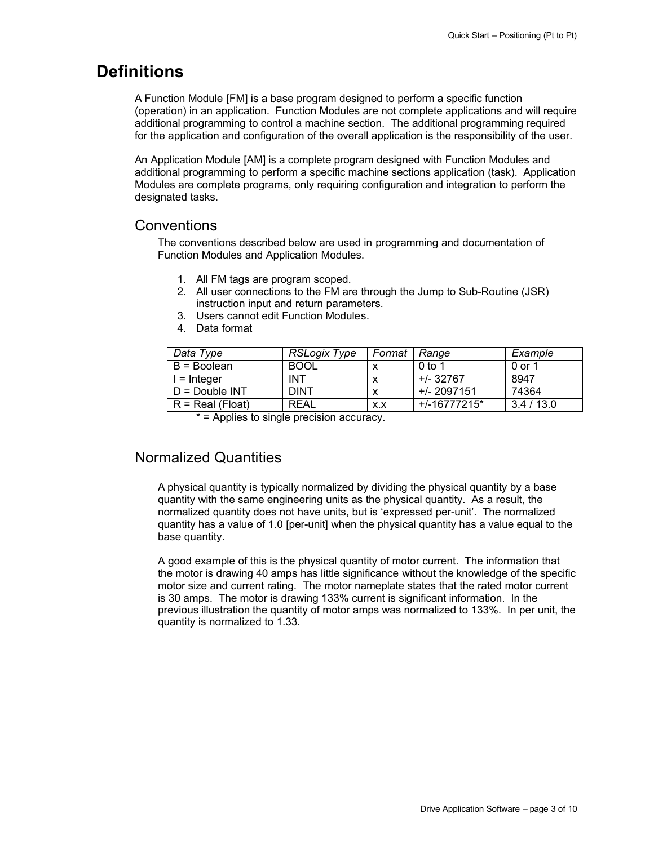# **Definitions**

A Function Module [FM] is a base program designed to perform a specific function (operation) in an application. Function Modules are not complete applications and will require additional programming to control a machine section. The additional programming required for the application and configuration of the overall application is the responsibility of the user.

An Application Module [AM] is a complete program designed with Function Modules and additional programming to perform a specific machine sections application (task). Application Modules are complete programs, only requiring configuration and integration to perform the designated tasks.

## **Conventions**

The conventions described below are used in programming and documentation of Function Modules and Application Modules.

- 1. All FM tags are program scoped.
- 2. All user connections to the FM are through the Jump to Sub-Routine (JSR) instruction input and return parameters.
- 3. Users cannot edit Function Modules.
- 4. Data format

| Data Type          | RSLogix Type | Format | Range        | Example  |
|--------------------|--------------|--------|--------------|----------|
| B = Boolean        | <b>BOOL</b>  |        | $0$ to 1     | 0 or 1   |
| I = Integer        | <b>INT</b>   |        | +/-32767     | 8947     |
| $D = Double INT$   | <b>DINT</b>  |        | +/- 2097151  | 74364    |
| $R = Real (Float)$ | <b>RFAL</b>  | X.X    | +/-16777215* | 3.4/13.0 |

\* = Applies to single precision accuracy.

## Normalized Quantities

A physical quantity is typically normalized by dividing the physical quantity by a base quantity with the same engineering units as the physical quantity. As a result, the normalized quantity does not have units, but is 'expressed per-unit'. The normalized quantity has a value of 1.0 [per-unit] when the physical quantity has a value equal to the base quantity.

A good example of this is the physical quantity of motor current. The information that the motor is drawing 40 amps has little significance without the knowledge of the specific motor size and current rating. The motor nameplate states that the rated motor current is 30 amps. The motor is drawing 133% current is significant information. In the previous illustration the quantity of motor amps was normalized to 133%. In per unit, the quantity is normalized to 1.33.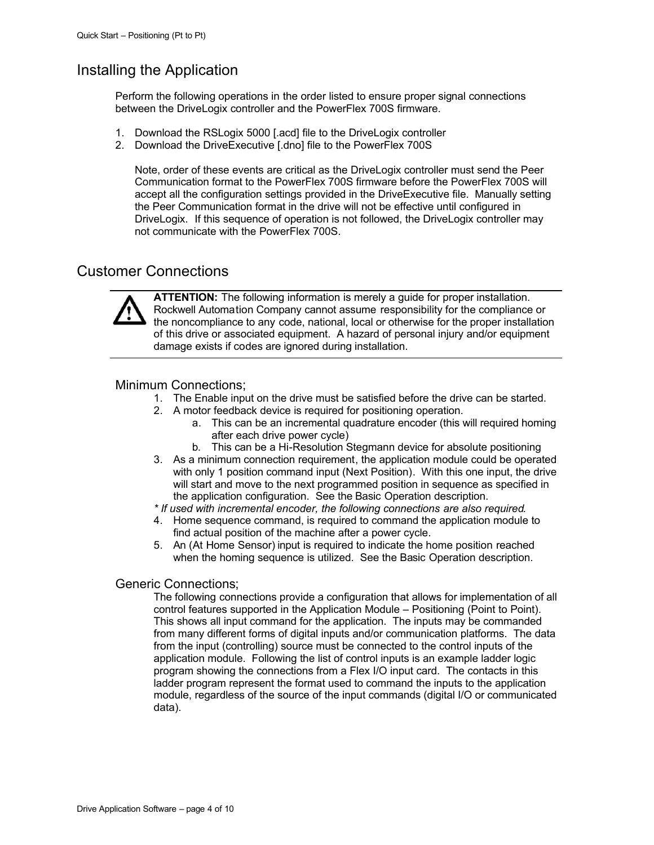## Installing the Application

Perform the following operations in the order listed to ensure proper signal connections between the DriveLogix controller and the PowerFlex 700S firmware.

- 1. Download the RSLogix 5000 [.acd] file to the DriveLogix controller
- 2. Download the DriveExecutive [.dno] file to the PowerFlex 700S

Note, order of these events are critical as the DriveLogix controller must send the Peer Communication format to the PowerFlex 700S firmware before the PowerFlex 700S will accept all the configuration settings provided in the DriveExecutive file. Manually setting the Peer Communication format in the drive will not be effective until configured in DriveLogix. If this sequence of operation is not followed, the DriveLogix controller may not communicate with the PowerFlex 700S.

## Customer Connections



**ATTENTION:** The following information is merely a guide for proper installation. Rockwell Automation Company cannot assume responsibility for the compliance or the noncompliance to any code, national, local or otherwise for the proper installation of this drive or associated equipment. A hazard of personal injury and/or equipment damage exists if codes are ignored during installation.

### Minimum Connections;

- 1. The Enable input on the drive must be satisfied before the drive can be started.
- 2. A motor feedback device is required for positioning operation.
	- a. This can be an incremental quadrature encoder (this will required homing after each drive power cycle)
	- b. This can be a Hi-Resolution Stegmann device for absolute positioning
- 3. As a minimum connection requirement, the application module could be operated with only 1 position command input (Next Position). With this one input, the drive will start and move to the next programmed position in sequence as specified in the application configuration. See the Basic Operation description.
- *\* If used with incremental encoder, the following connections are also required.*
- 4. Home sequence command, is required to command the application module to find actual position of the machine after a power cycle.
- 5. An (At Home Sensor) input is required to indicate the home position reached when the homing sequence is utilized. See the Basic Operation description.

#### Generic Connections;

The following connections provide a configuration that allows for implementation of all control features supported in the Application Module – Positioning (Point to Point). This shows all input command for the application. The inputs may be commanded from many different forms of digital inputs and/or communication platforms. The data from the input (controlling) source must be connected to the control inputs of the application module. Following the list of control inputs is an example ladder logic program showing the connections from a Flex I/O input card. The contacts in this ladder program represent the format used to command the inputs to the application module, regardless of the source of the input commands (digital I/O or communicated data).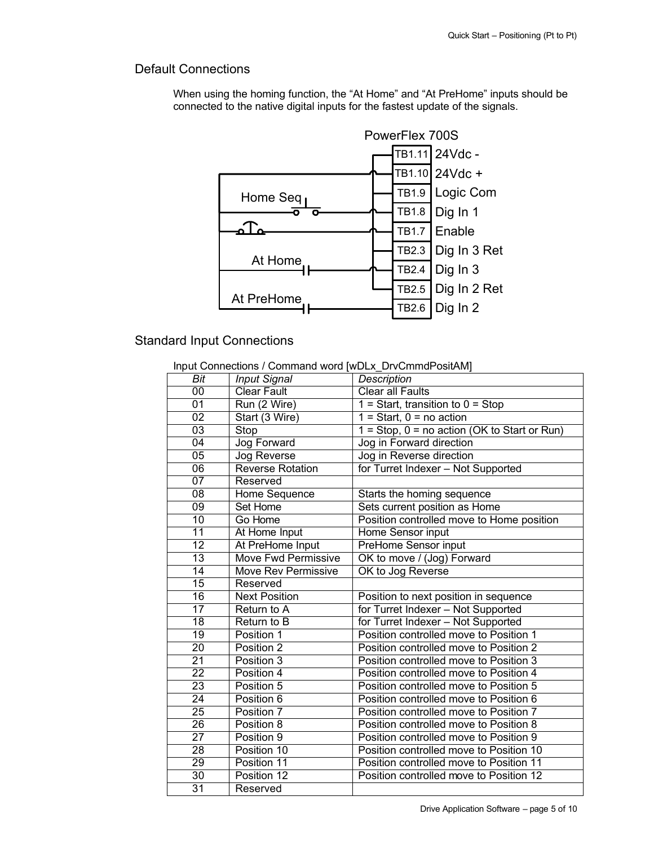## Default Connections

When using the homing function, the "At Home" and "At PreHome" inputs should be connected to the native digital inputs for the fastest update of the signals.



## Standard Input Connections

| Input Connections / Command word [wDLx DrvCmmdPositAM] |  |
|--------------------------------------------------------|--|
|                                                        |  |

| Bit             | <b>Input Signal</b>        | <b>Description</b>                             |
|-----------------|----------------------------|------------------------------------------------|
| $\overline{00}$ | <b>Clear Fault</b>         | <b>Clear all Faults</b>                        |
| $\overline{01}$ | Run (2 Wire)               | $1 = Start$ , transition to $0 = Stop$         |
| $\overline{02}$ | Start (3 Wire)             | $1 = Start$ , $0 = no$ action                  |
| $\overline{03}$ | Stop                       | 1 = Stop, $0 =$ no action (OK to Start or Run) |
| $\overline{04}$ | Jog Forward                | Jog in Forward direction                       |
| $\overline{05}$ | Jog Reverse                | Jog in Reverse direction                       |
| 06              | Reverse Rotation           | for Turret Indexer - Not Supported             |
| $\overline{07}$ | Reserved                   |                                                |
| $\overline{08}$ | Home Sequence              | Starts the homing sequence                     |
| $\overline{09}$ | Set Home                   | Sets current position as Home                  |
| 10              | Go Home                    | Position controlled move to Home position      |
| $\overline{11}$ | At Home Input              | Home Sensor input                              |
| $\overline{12}$ | At PreHome Input           | PreHome Sensor input                           |
| 13              | <b>Move Fwd Permissive</b> | OK to move / (Jog) Forward                     |
| 14              | Move Rev Permissive        | OK to Jog Reverse                              |
| $\overline{15}$ | Reserved                   |                                                |
| $\overline{16}$ | <b>Next Position</b>       | Position to next position in sequence          |
| $\overline{17}$ | Return to A                | for Turret Indexer - Not Supported             |
| $\overline{18}$ | Return to B                | for Turret Indexer - Not Supported             |
| $\overline{19}$ | Position 1                 | Position controlled move to Position 1         |
| 20              | Position 2                 | Position controlled move to Position 2         |
| $\overline{21}$ | Position 3                 | Position controlled move to Position 3         |
| $\overline{22}$ | Position 4                 | Position controlled move to Position 4         |
| $\overline{23}$ | Position 5                 | Position controlled move to Position 5         |
| $\overline{24}$ | Position 6                 | Position controlled move to Position 6         |
| 25              | Position 7                 | Position controlled move to Position 7         |
| $\overline{26}$ | Position 8                 | Position controlled move to Position 8         |
| $\overline{27}$ | Position 9                 | Position controlled move to Position 9         |
| 28              | Position 10                | Position controlled move to Position 10        |
| 29              | Position 11                | Position controlled move to Position 11        |
| 30              | Position 12                | Position controlled move to Position 12        |
| $\overline{31}$ | Reserved                   |                                                |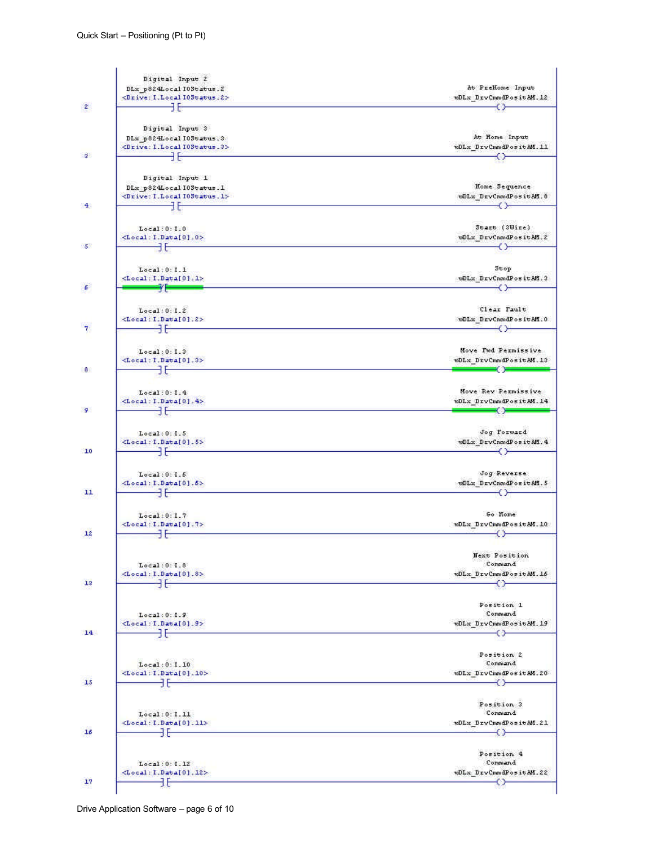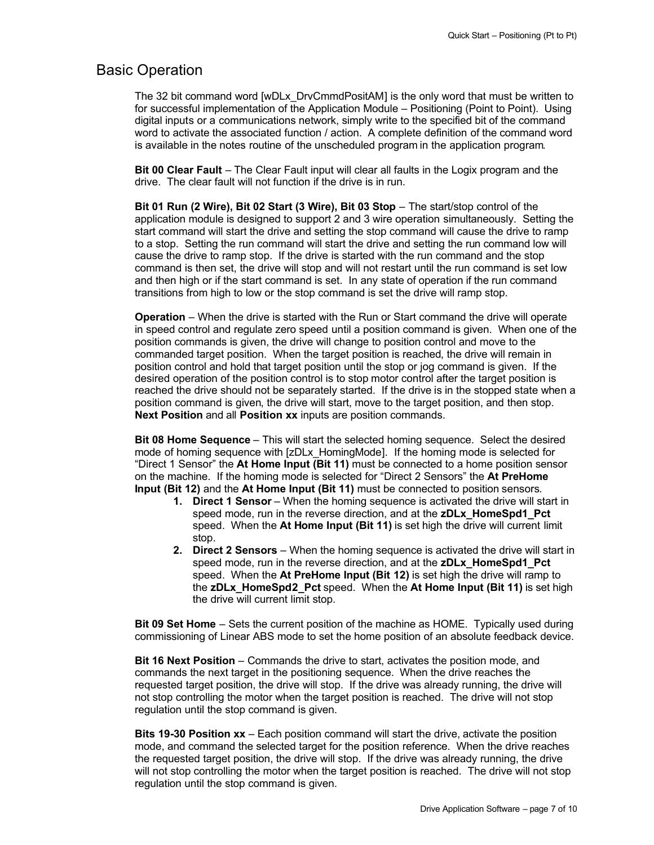## Basic Operation

The 32 bit command word [wDLx\_DrvCmmdPositAM] is the only word that must be written to for successful implementation of the Application Module – Positioning (Point to Point). Using digital inputs or a communications network, simply write to the specified bit of the command word to activate the associated function / action. A complete definition of the command word is available in the notes routine of the unscheduled program in the application program.

**Bit 00 Clear Fault** – The Clear Fault input will clear all faults in the Logix program and the drive. The clear fault will not function if the drive is in run.

**Bit 01 Run (2 Wire), Bit 02 Start (3 Wire), Bit 03 Stop** – The start/stop control of the application module is designed to support 2 and 3 wire operation simultaneously. Setting the start command will start the drive and setting the stop command will cause the drive to ramp to a stop. Setting the run command will start the drive and setting the run command low will cause the drive to ramp stop. If the drive is started with the run command and the stop command is then set, the drive will stop and will not restart until the run command is set low and then high or if the start command is set. In any state of operation if the run command transitions from high to low or the stop command is set the drive will ramp stop.

**Operation** – When the drive is started with the Run or Start command the drive will operate in speed control and regulate zero speed until a position command is given. When one of the position commands is given, the drive will change to position control and move to the commanded target position. When the target position is reached, the drive will remain in position control and hold that target position until the stop or jog command is given. If the desired operation of the position control is to stop motor control after the target position is reached the drive should not be separately started. If the drive is in the stopped state when a position command is given, the drive will start, move to the target position, and then stop. **Next Position** and all **Position xx** inputs are position commands.

**Bit 08 Home Sequence** – This will start the selected homing sequence. Select the desired mode of homing sequence with [zDLx\_HomingMode]. If the homing mode is selected for "Direct 1 Sensor" the **At Home Input (Bit 11)** must be connected to a home position sensor on the machine. If the homing mode is selected for "Direct 2 Sensors" the **At PreHome Input (Bit 12)** and the **At Home Input (Bit 11)** must be connected to position sensors.

- **1. Direct 1 Sensor** When the homing sequence is activated the drive will start in speed mode, run in the reverse direction, and at the **zDLx\_HomeSpd1\_Pct** speed. When the **At Home Input (Bit 11)** is set high the drive will current limit stop.
- **2. Direct 2 Sensors**  When the homing sequence is activated the drive will start in speed mode, run in the reverse direction, and at the **zDLx\_HomeSpd1\_Pct** speed. When the **At PreHome Input (Bit 12)** is set high the drive will ramp to the **zDLx\_HomeSpd2\_Pct** speed. When the **At Home Input (Bit 11)** is set high the drive will current limit stop.

**Bit 09 Set Home** – Sets the current position of the machine as HOME. Typically used during commissioning of Linear ABS mode to set the home position of an absolute feedback device.

**Bit 16 Next Position** – Commands the drive to start, activates the position mode, and commands the next target in the positioning sequence. When the drive reaches the requested target position, the drive will stop. If the drive was already running, the drive will not stop controlling the motor when the target position is reached. The drive will not stop regulation until the stop command is given.

**Bits 19-30 Position xx** – Each position command will start the drive, activate the position mode, and command the selected target for the position reference. When the drive reaches the requested target position, the drive will stop. If the drive was already running, the drive will not stop controlling the motor when the target position is reached. The drive will not stop regulation until the stop command is given.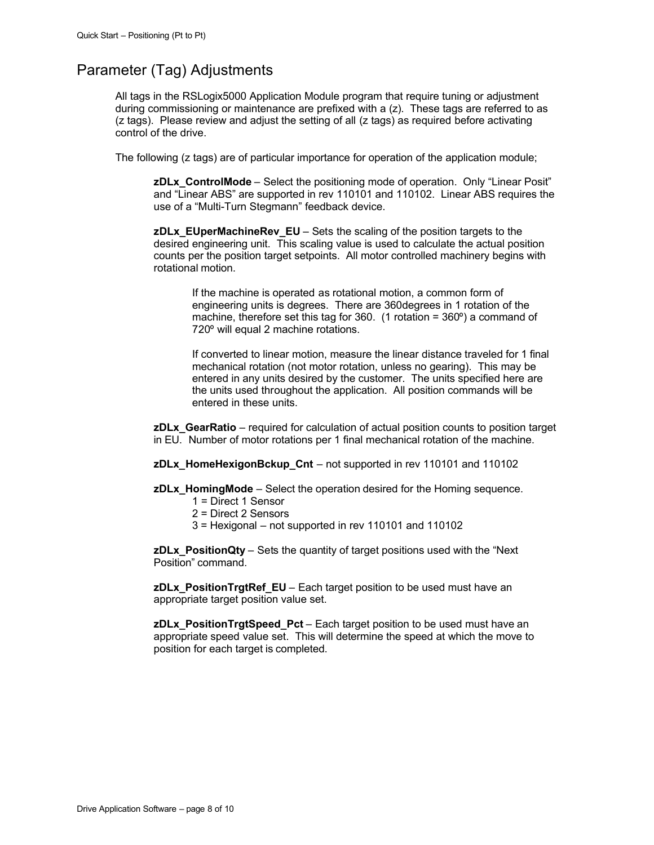## Parameter (Tag) Adjustments

All tags in the RSLogix5000 Application Module program that require tuning or adjustment during commissioning or maintenance are prefixed with a (z). These tags are referred to as (z tags). Please review and adjust the setting of all (z tags) as required before activating control of the drive.

The following (z tags) are of particular importance for operation of the application module;

**zDLx\_ControlMode** – Select the positioning mode of operation. Only "Linear Posit" and "Linear ABS" are supported in rev 110101 and 110102. Linear ABS requires the use of a "Multi-Turn Stegmann" feedback device.

**zDLx\_EUperMachineRev\_EU** – Sets the scaling of the position targets to the desired engineering unit. This scaling value is used to calculate the actual position counts per the position target setpoints. All motor controlled machinery begins with rotational motion.

If the machine is operated as rotational motion, a common form of engineering units is degrees. There are 360degrees in 1 rotation of the machine, therefore set this tag for 360. (1 rotation = 360º) a command of 720º will equal 2 machine rotations.

If converted to linear motion, measure the linear distance traveled for 1 final mechanical rotation (not motor rotation, unless no gearing). This may be entered in any units desired by the customer. The units specified here are the units used throughout the application. All position commands will be entered in these units.

**zDLx** GearRatio – required for calculation of actual position counts to position target in EU. Number of motor rotations per 1 final mechanical rotation of the machine.

**zDLx** HomeHexigonBckup Cnt – not supported in rev 110101 and 110102

**zDLx\_HomingMode** – Select the operation desired for the Homing sequence.

- 1 = Direct 1 Sensor
- 2 = Direct 2 Sensors
- $3$  = Hexigonal not supported in rev 110101 and 110102

**zDLx\_PositionQty** – Sets the quantity of target positions used with the "Next Position" command.

**zDLx\_PositionTrgtRef\_EU** – Each target position to be used must have an appropriate target position value set.

**zDLx\_PositionTrgtSpeed\_Pct** – Each target position to be used must have an appropriate speed value set. This will determine the speed at which the move to position for each target is completed.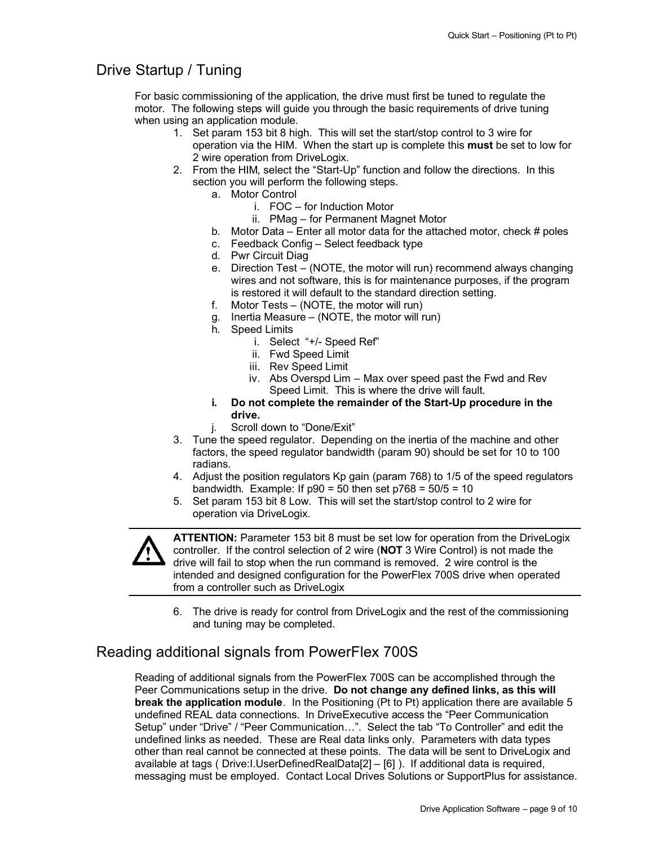## Drive Startup / Tuning

For basic commissioning of the application, the drive must first be tuned to regulate the motor. The following steps will guide you through the basic requirements of drive tuning when using an application module.

- 1. Set param 153 bit 8 high. This will set the start/stop control to 3 wire for operation via the HIM. When the start up is complete this **must** be set to low for 2 wire operation from DriveLogix.
- 2. From the HIM, select the "Start-Up" function and follow the directions. In this section you will perform the following steps.
	- a. Motor Control
		- i. FOC for Induction Motor
			- ii. PMag for Permanent Magnet Motor
	- b. Motor Data Enter all motor data for the attached motor, check # poles
	- c. Feedback Config Select feedback type
	- d. Pwr Circuit Diag
	- e. Direction Test (NOTE, the motor will run) recommend always changing wires and not software, this is for maintenance purposes, if the program is restored it will default to the standard direction setting.
	- f. Motor Tests (NOTE, the motor will run)
	- g. Inertia Measure (NOTE, the motor will run)
	- h. Speed Limits
		- i. Select "+/- Speed Ref"
		- ii. Fwd Speed Limit
		- iii. Rev Speed Limit
		- iv. Abs Overspd Lim Max over speed past the Fwd and Rev Speed Limit. This is where the drive will fault.
	- **i. Do not complete the remainder of the Start-Up procedure in the drive.**
	- j. Scroll down to "Done/Exit"
- 3. Tune the speed regulator. Depending on the inertia of the machine and other factors, the speed regulator bandwidth (param 90) should be set for 10 to 100 radians.
- 4. Adjust the position regulators Kp gain (param 768) to 1/5 of the speed regulators bandwidth. Example: If  $p90 = 50$  then set  $p768 = 50/5 = 10$
- 5. Set param 153 bit 8 Low. This will set the start/stop control to 2 wire for operation via DriveLogix.



**ATTENTION:** Parameter 153 bit 8 must be set low for operation from the DriveLogix controller. If the control selection of 2 wire (**NOT** 3 Wire Control) is not made the drive will fail to stop when the run command is removed. 2 wire control is the intended and designed configuration for the PowerFlex 700S drive when operated from a controller such as DriveLogix

6. The drive is ready for control from DriveLogix and the rest of the commissioning and tuning may be completed.

## Reading additional signals from PowerFlex 700S

Reading of additional signals from the PowerFlex 700S can be accomplished through the Peer Communications setup in the drive. **Do not change any defined links, as this will break the application module**. In the Positioning (Pt to Pt) application there are available 5 undefined REAL data connections. In DriveExecutive access the "Peer Communication Setup" under "Drive" / "Peer Communication…". Select the tab "To Controller" and edit the undefined links as needed. These are Real data links only. Parameters with data types other than real cannot be connected at these points. The data will be sent to DriveLogix and available at tags ( Drive:I.UserDefinedRealData[2] – [6] ). If additional data is required, messaging must be employed. Contact Local Drives Solutions or SupportPlus for assistance.